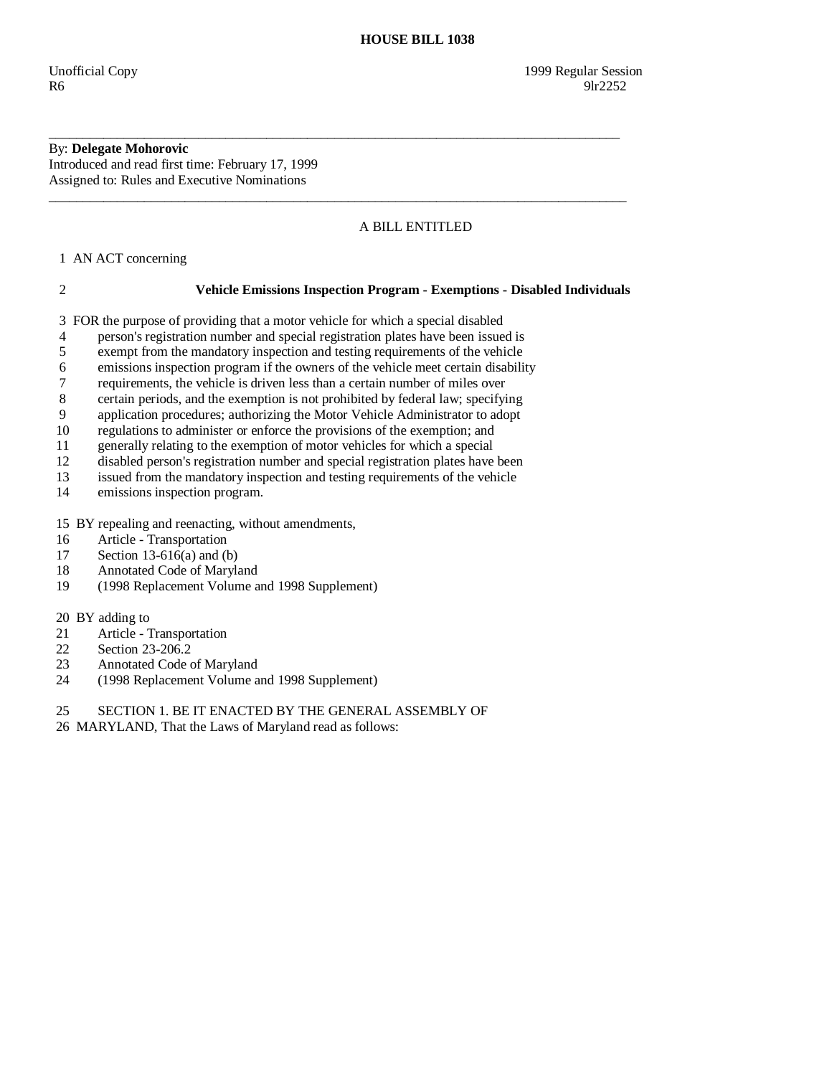# By: **Delegate Mohorovic**

Introduced and read first time: February 17, 1999 Assigned to: Rules and Executive Nominations

## A BILL ENTITLED

1 AN ACT concerning

### 2 **Vehicle Emissions Inspection Program - Exemptions - Disabled Individuals**

3 FOR the purpose of providing that a motor vehicle for which a special disabled

4 person's registration number and special registration plates have been issued is

\_\_\_\_\_\_\_\_\_\_\_\_\_\_\_\_\_\_\_\_\_\_\_\_\_\_\_\_\_\_\_\_\_\_\_\_\_\_\_\_\_\_\_\_\_\_\_\_\_\_\_\_\_\_\_\_\_\_\_\_\_\_\_\_\_\_\_\_\_\_\_\_\_\_\_\_\_\_\_\_\_\_\_\_

\_\_\_\_\_\_\_\_\_\_\_\_\_\_\_\_\_\_\_\_\_\_\_\_\_\_\_\_\_\_\_\_\_\_\_\_\_\_\_\_\_\_\_\_\_\_\_\_\_\_\_\_\_\_\_\_\_\_\_\_\_\_\_\_\_\_\_\_\_\_\_\_\_\_\_\_\_\_\_\_\_\_\_\_\_

- 5 exempt from the mandatory inspection and testing requirements of the vehicle
- 6 emissions inspection program if the owners of the vehicle meet certain disability
- 7 requirements, the vehicle is driven less than a certain number of miles over
- 8 certain periods, and the exemption is not prohibited by federal law; specifying
- 9 application procedures; authorizing the Motor Vehicle Administrator to adopt
- 10 regulations to administer or enforce the provisions of the exemption; and
- 11 generally relating to the exemption of motor vehicles for which a special<br>12 disabled person's registration number and special registration plates have
- disabled person's registration number and special registration plates have been
- 13 issued from the mandatory inspection and testing requirements of the vehicle
- 14 emissions inspection program.
- 15 BY repealing and reenacting, without amendments,
- 16 Article Transportation
- 17 Section 13-616(a) and (b)
- 18 Annotated Code of Maryland
- 19 (1998 Replacement Volume and 1998 Supplement)
- 20 BY adding to
- 21 Article Transportation<br>22 Section 23-206.2
- 22 Section 23-206.2<br>23 Annotated Code
- 23 Annotated Code of Maryland<br>24 (1998 Replacement Volume a
- 24 (1998 Replacement Volume and 1998 Supplement)
- 25 SECTION 1. BE IT ENACTED BY THE GENERAL ASSEMBLY OF
- 26 MARYLAND, That the Laws of Maryland read as follows: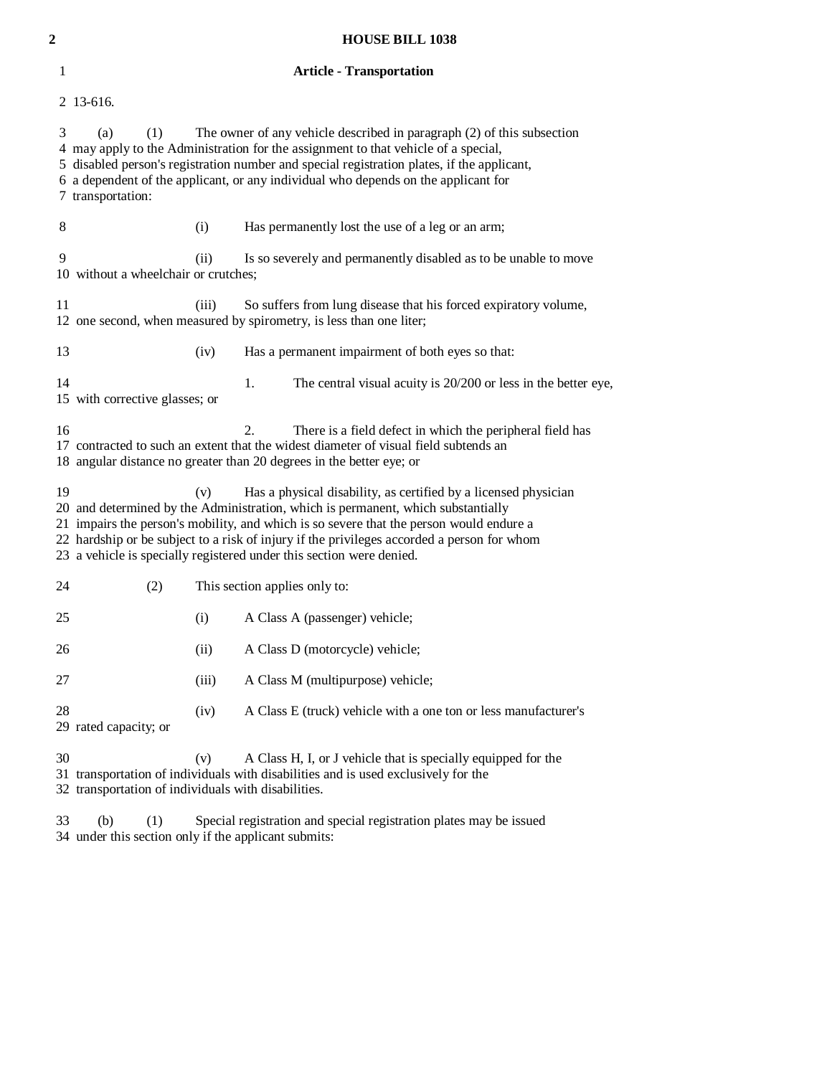| 2  |                                                                                                                                                                                                                                                                                                                                                                                                                                   |       | <b>HOUSE BILL 1038</b>                                                                                                                              |  |
|----|-----------------------------------------------------------------------------------------------------------------------------------------------------------------------------------------------------------------------------------------------------------------------------------------------------------------------------------------------------------------------------------------------------------------------------------|-------|-----------------------------------------------------------------------------------------------------------------------------------------------------|--|
| 1  | <b>Article - Transportation</b>                                                                                                                                                                                                                                                                                                                                                                                                   |       |                                                                                                                                                     |  |
|    | 2 13-616.                                                                                                                                                                                                                                                                                                                                                                                                                         |       |                                                                                                                                                     |  |
| 3  | The owner of any vehicle described in paragraph (2) of this subsection<br>(a)<br>(1)<br>4 may apply to the Administration for the assignment to that vehicle of a special,<br>5 disabled person's registration number and special registration plates, if the applicant,<br>6 a dependent of the applicant, or any individual who depends on the applicant for<br>7 transportation:                                               |       |                                                                                                                                                     |  |
| 8  |                                                                                                                                                                                                                                                                                                                                                                                                                                   | (i)   | Has permanently lost the use of a leg or an arm;                                                                                                    |  |
| 9  | 10 without a wheelchair or crutches;                                                                                                                                                                                                                                                                                                                                                                                              | (ii)  | Is so severely and permanently disabled as to be unable to move                                                                                     |  |
| 11 |                                                                                                                                                                                                                                                                                                                                                                                                                                   | (iii) | So suffers from lung disease that his forced expiratory volume,<br>12 one second, when measured by spirometry, is less than one liter;              |  |
| 13 |                                                                                                                                                                                                                                                                                                                                                                                                                                   | (iv)  | Has a permanent impairment of both eyes so that:                                                                                                    |  |
| 14 | 15 with corrective glasses; or                                                                                                                                                                                                                                                                                                                                                                                                    |       | 1.<br>The central visual acuity is 20/200 or less in the better eye,                                                                                |  |
|    | $\overline{2}$ .<br>16<br>There is a field defect in which the peripheral field has<br>17 contracted to such an extent that the widest diameter of visual field subtends an<br>18 angular distance no greater than 20 degrees in the better eye; or                                                                                                                                                                               |       |                                                                                                                                                     |  |
|    | 19<br>Has a physical disability, as certified by a licensed physician<br>(v)<br>20 and determined by the Administration, which is permanent, which substantially<br>21 impairs the person's mobility, and which is so severe that the person would endure a<br>22 hardship or be subject to a risk of injury if the privileges accorded a person for whom<br>23 a vehicle is specially registered under this section were denied. |       |                                                                                                                                                     |  |
| 24 | (2)                                                                                                                                                                                                                                                                                                                                                                                                                               |       | This section applies only to:                                                                                                                       |  |
| 25 |                                                                                                                                                                                                                                                                                                                                                                                                                                   | (i)   | A Class A (passenger) vehicle;                                                                                                                      |  |
| 26 |                                                                                                                                                                                                                                                                                                                                                                                                                                   | (ii)  | A Class D (motorcycle) vehicle;                                                                                                                     |  |
| 27 |                                                                                                                                                                                                                                                                                                                                                                                                                                   | (iii) | A Class M (multipurpose) vehicle;                                                                                                                   |  |
| 28 | 29 rated capacity; or                                                                                                                                                                                                                                                                                                                                                                                                             | (iv)  | A Class E (truck) vehicle with a one ton or less manufacturer's                                                                                     |  |
| 30 | 32 transportation of individuals with disabilities.                                                                                                                                                                                                                                                                                                                                                                               | (v)   | A Class H, I, or J vehicle that is specially equipped for the<br>31 transportation of individuals with disabilities and is used exclusively for the |  |

 33 (b) (1) Special registration and special registration plates may be issued 34 under this section only if the applicant submits: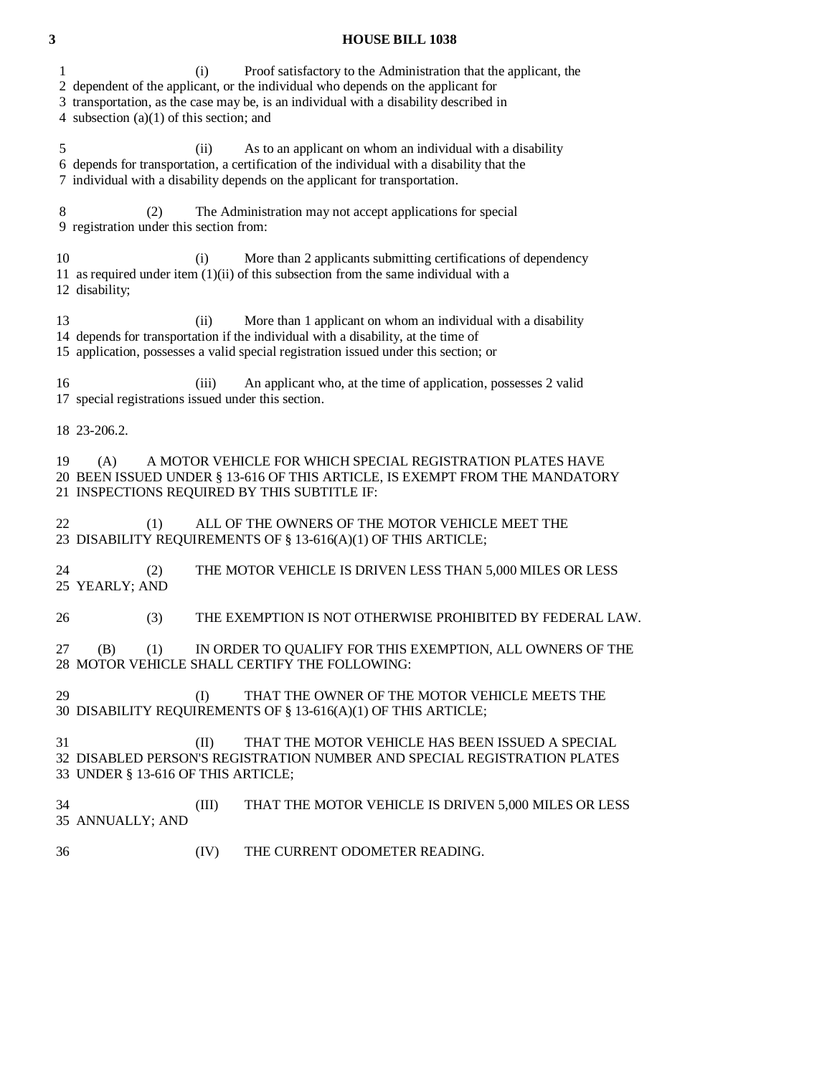#### **3 HOUSE BILL 1038**

1 (i) Proof satisfactory to the Administration that the applicant, the

2 dependent of the applicant, or the individual who depends on the applicant for

3 transportation, as the case may be, is an individual with a disability described in

4 subsection (a)(1) of this section; and

 5 (ii) As to an applicant on whom an individual with a disability 6 depends for transportation, a certification of the individual with a disability that the 7 individual with a disability depends on the applicant for transportation.

 8 (2) The Administration may not accept applications for special 9 registration under this section from:

10 (i) More than 2 applicants submitting certifications of dependency 11 as required under item (1)(ii) of this subsection from the same individual with a 12 disability;

13 (ii) More than 1 applicant on whom an individual with a disability 14 depends for transportation if the individual with a disability, at the time of 15 application, possesses a valid special registration issued under this section; or

 16 (iii) An applicant who, at the time of application, possesses 2 valid 17 special registrations issued under this section.

18 23-206.2.

 19 (A) A MOTOR VEHICLE FOR WHICH SPECIAL REGISTRATION PLATES HAVE 20 BEEN ISSUED UNDER § 13-616 OF THIS ARTICLE, IS EXEMPT FROM THE MANDATORY 21 INSPECTIONS REQUIRED BY THIS SUBTITLE IF:

22 (1) ALL OF THE OWNERS OF THE MOTOR VEHICLE MEET THE 23 DISABILITY REQUIREMENTS OF § 13-616(A)(1) OF THIS ARTICLE;

 24 (2) THE MOTOR VEHICLE IS DRIVEN LESS THAN 5,000 MILES OR LESS 25 YEARLY; AND

26 (3) THE EXEMPTION IS NOT OTHERWISE PROHIBITED BY FEDERAL LAW.

 27 (B) (1) IN ORDER TO QUALIFY FOR THIS EXEMPTION, ALL OWNERS OF THE 28 MOTOR VEHICLE SHALL CERTIFY THE FOLLOWING:

29 (I) THAT THE OWNER OF THE MOTOR VEHICLE MEETS THE 30 DISABILITY REQUIREMENTS OF § 13-616(A)(1) OF THIS ARTICLE;

 31 (II) THAT THE MOTOR VEHICLE HAS BEEN ISSUED A SPECIAL 32 DISABLED PERSON'S REGISTRATION NUMBER AND SPECIAL REGISTRATION PLATES 33 UNDER § 13-616 OF THIS ARTICLE;

 34 (III) THAT THE MOTOR VEHICLE IS DRIVEN 5,000 MILES OR LESS 35 ANNUALLY; AND

36 (IV) THE CURRENT ODOMETER READING.